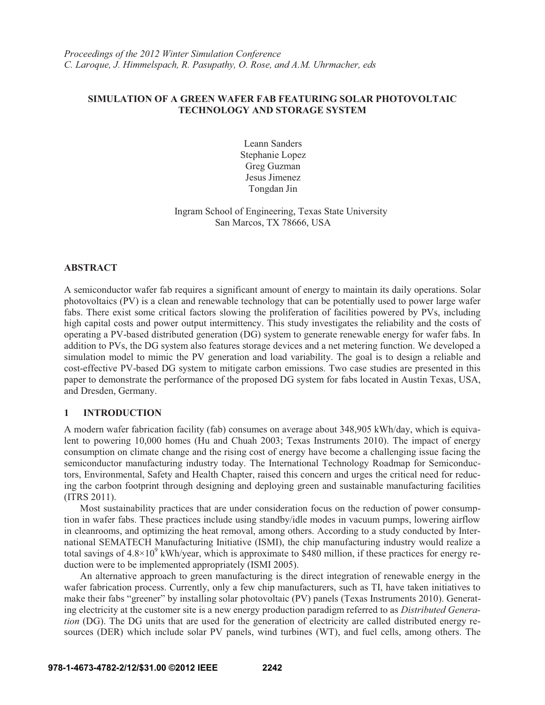# **SIMULATION OF A GREEN WAFER FAB FEATURING SOLAR PHOTOVOLTAIC TECHNOLOGY AND STORAGE SYSTEM**

Leann Sanders Stephanie Lopez Greg Guzman Jesus Jimenez Tongdan Jin

Ingram School of Engineering, Texas State University San Marcos, TX 78666, USA

## **ABSTRACT**

A semiconductor wafer fab requires a significant amount of energy to maintain its daily operations. Solar photovoltaics (PV) is a clean and renewable technology that can be potentially used to power large wafer fabs. There exist some critical factors slowing the proliferation of facilities powered by PVs, including high capital costs and power output intermittency. This study investigates the reliability and the costs of operating a PV-based distributed generation (DG) system to generate renewable energy for wafer fabs. In addition to PVs, the DG system also features storage devices and a net metering function. We developed a simulation model to mimic the PV generation and load variability. The goal is to design a reliable and cost-effective PV-based DG system to mitigate carbon emissions. Two case studies are presented in this paper to demonstrate the performance of the proposed DG system for fabs located in Austin Texas, USA, and Dresden, Germany.

# **1 INTRODUCTION**

A modern wafer fabrication facility (fab) consumes on average about 348,905 kWh/day, which is equivalent to powering 10,000 homes (Hu and Chuah 2003; Texas Instruments 2010). The impact of energy consumption on climate change and the rising cost of energy have become a challenging issue facing the semiconductor manufacturing industry today. The International Technology Roadmap for Semiconductors, Environmental, Safety and Health Chapter, raised this concern and urges the critical need for reducing the carbon footprint through designing and deploying green and sustainable manufacturing facilities (ITRS 2011).

 Most sustainability practices that are under consideration focus on the reduction of power consumption in wafer fabs. These practices include using standby/idle modes in vacuum pumps, lowering airflow in cleanrooms, and optimizing the heat removal, among others. According to a study conducted by International SEMATECH Manufacturing Initiative (ISMI), the chip manufacturing industry would realize a total savings of  $4.8 \times 10^9$  kWh/year, which is approximate to \$480 million, if these practices for energy reduction were to be implemented appropriately (ISMI 2005).

 An alternative approach to green manufacturing is the direct integration of renewable energy in the wafer fabrication process. Currently, only a few chip manufacturers, such as TI, have taken initiatives to make their fabs "greener" by installing solar photovoltaic (PV) panels (Texas Instruments 2010). Generating electricity at the customer site is a new energy production paradigm referred to as *Distributed Generation* (DG). The DG units that are used for the generation of electricity are called distributed energy resources (DER) which include solar PV panels, wind turbines (WT), and fuel cells, among others. The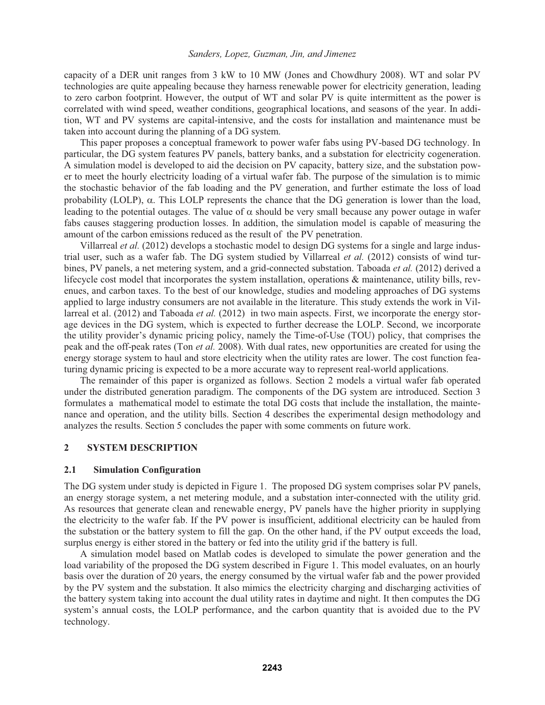#### *Sanders, Lopez, Guzman, Jin, and Jimenez*

capacity of a DER unit ranges from 3 kW to 10 MW (Jones and Chowdhury 2008). WT and solar PV technologies are quite appealing because they harness renewable power for electricity generation, leading to zero carbon footprint. However, the output of WT and solar PV is quite intermittent as the power is correlated with wind speed, weather conditions, geographical locations, and seasons of the year. In addition, WT and PV systems are capital-intensive, and the costs for installation and maintenance must be taken into account during the planning of a DG system.

 This paper proposes a conceptual framework to power wafer fabs using PV-based DG technology. In particular, the DG system features PV panels, battery banks, and a substation for electricity cogeneration. A simulation model is developed to aid the decision on PV capacity, battery size, and the substation power to meet the hourly electricity loading of a virtual wafer fab. The purpose of the simulation is to mimic the stochastic behavior of the fab loading and the PV generation, and further estimate the loss of load probability (LOLP),  $\alpha$ . This LOLP represents the chance that the DG generation is lower than the load, leading to the potential outages. The value of  $\alpha$  should be very small because any power outage in wafer fabs causes staggering production losses. In addition, the simulation model is capable of measuring the amount of the carbon emissions reduced as the result of the PV penetration.

 Villarreal *et al.* (2012) develops a stochastic model to design DG systems for a single and large industrial user, such as a wafer fab. The DG system studied by Villarreal *et al.* (2012) consists of wind turbines, PV panels, a net metering system, and a grid-connected substation. Taboada *et al.* (2012) derived a lifecycle cost model that incorporates the system installation, operations & maintenance, utility bills, revenues, and carbon taxes. To the best of our knowledge, studies and modeling approaches of DG systems applied to large industry consumers are not available in the literature. This study extends the work in Villarreal et al. (2012) and Taboada *et al.* (2012) in two main aspects. First, we incorporate the energy storage devices in the DG system, which is expected to further decrease the LOLP. Second, we incorporate the utility provider's dynamic pricing policy, namely the Time-of-Use (TOU) policy, that comprises the peak and the off-peak rates (Ton *et al.* 2008). With dual rates, new opportunities are created for using the energy storage system to haul and store electricity when the utility rates are lower. The cost function featuring dynamic pricing is expected to be a more accurate way to represent real-world applications.

 The remainder of this paper is organized as follows. Section 2 models a virtual wafer fab operated under the distributed generation paradigm. The components of the DG system are introduced. Section 3 formulates a mathematical model to estimate the total DG costs that include the installation, the maintenance and operation, and the utility bills. Section 4 describes the experimental design methodology and analyzes the results. Section 5 concludes the paper with some comments on future work.

### **2 SYSTEM DESCRIPTION**

#### **2.1 Simulation Configuration**

The DG system under study is depicted in Figure 1. The proposed DG system comprises solar PV panels, an energy storage system, a net metering module, and a substation inter-connected with the utility grid. As resources that generate clean and renewable energy, PV panels have the higher priority in supplying the electricity to the wafer fab. If the PV power is insufficient, additional electricity can be hauled from the substation or the battery system to fill the gap. On the other hand, if the PV output exceeds the load, surplus energy is either stored in the battery or fed into the utility grid if the battery is full.

 A simulation model based on Matlab codes is developed to simulate the power generation and the load variability of the proposed the DG system described in Figure 1. This model evaluates, on an hourly basis over the duration of 20 years, the energy consumed by the virtual wafer fab and the power provided by the PV system and the substation. It also mimics the electricity charging and discharging activities of the battery system taking into account the dual utility rates in daytime and night. It then computes the DG system's annual costs, the LOLP performance, and the carbon quantity that is avoided due to the PV technology.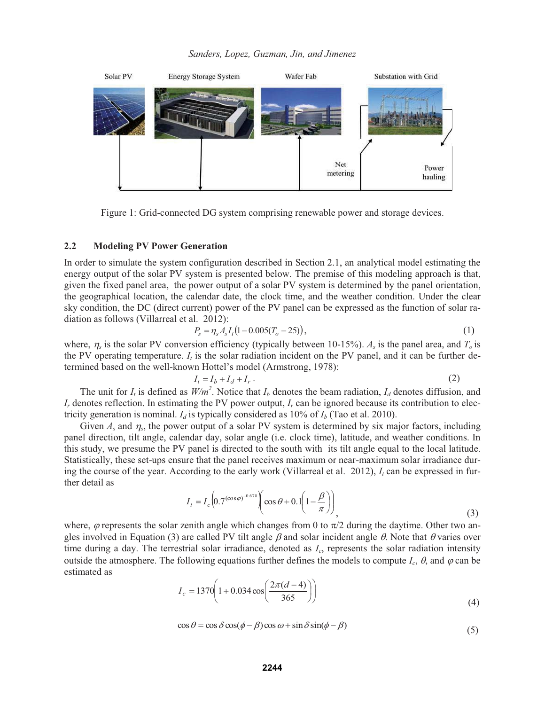*Sanders, Lopez, Guzman, Jin, and Jimenez* 



Figure 1: Grid-connected DG system comprising renewable power and storage devices.

#### **2.2 Modeling PV Power Generation**

In order to simulate the system configuration described in Section 2.1, an analytical model estimating the energy output of the solar PV system is presented below. The premise of this modeling approach is that, given the fixed panel area, the power output of a solar PV system is determined by the panel orientation, the geographical location, the calendar date, the clock time, and the weather condition. Under the clear sky condition, the DC (direct current) power of the PV panel can be expressed as the function of solar radiation as follows (Villarreal et al. 2012):

$$
P_s = \eta_s A_s I_t (1 - 0.005(T_o - 25)), \tag{1}
$$

where,  $\eta_s$  is the solar PV conversion efficiency (typically between 10-15%).  $A_s$  is the panel area, and  $T_o$  is the PV operating temperature.  $I_t$  is the solar radiation incident on the PV panel, and it can be further determined based on the well-known Hottel's model (Armstrong, 1978):

$$
I_t = I_b + I_d + I_r. \tag{2}
$$

The unit for  $I_t$  is defined as  $W/m^2$ . Notice that  $I_b$  denotes the beam radiation,  $I_d$  denotes diffusion, and *Ir* denotes reflection. In estimating the PV power output, *Ir* can be ignored because its contribution to electricity generation is nominal.  $I_d$  is typically considered as 10% of  $I_b$  (Tao et al. 2010).

Given  $A_s$  and  $\eta_s$ , the power output of a solar PV system is determined by six major factors, including panel direction, tilt angle, calendar day, solar angle (i.e. clock time), latitude, and weather conditions. In this study, we presume the PV panel is directed to the south with its tilt angle equal to the local latitude. Statistically, these set-ups ensure that the panel receives maximum or near-maximum solar irradiance during the course of the year. According to the early work (Villarreal et al.  $2012$ ),  $I_t$  can be expressed in further detail as

$$
I_t = I_c \left( 0.7^{(\cos \varphi)^{-0.678}} \left( \cos \theta + 0.1 \left( 1 - \frac{\beta}{\pi} \right) \right) \right),
$$
 (3)

where,  $\varphi$  represents the solar zenith angle which changes from 0 to  $\pi/2$  during the daytime. Other two angles involved in Equation (3) are called PV tilt angle  $\beta$  and solar incident angle  $\theta$ . Note that  $\theta$  varies over time during a day. The terrestrial solar irradiance, denoted as *Ic*, represents the solar radiation intensity outside the atmosphere. The following equations further defines the models to compute  $I_c$ ,  $\theta$ , and  $\varphi$  can be estimated as

$$
I_c = 1370 \left( 1 + 0.034 \cos \left( \frac{2\pi (d - 4)}{365} \right) \right)
$$
 (4)

$$
\cos \theta = \cos \delta \cos(\phi - \beta) \cos \omega + \sin \delta \sin(\phi - \beta)
$$
\n(5)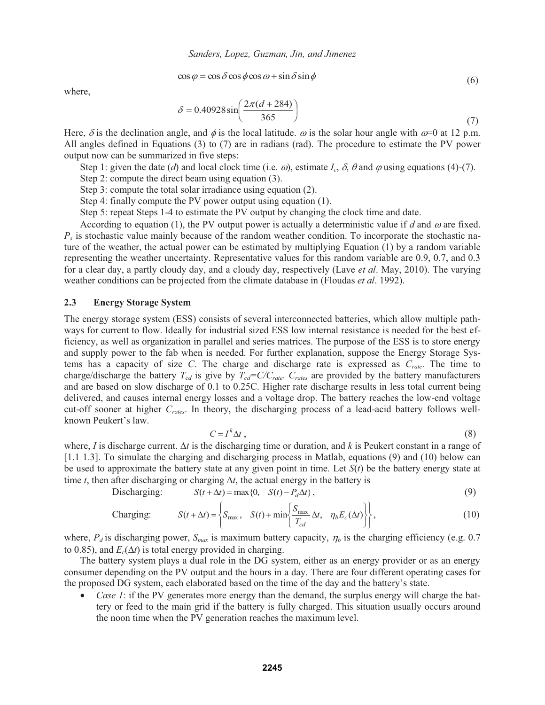$$
\cos \varphi = \cos \delta \cos \phi \cos \omega + \sin \delta \sin \phi \tag{6}
$$

where,

$$
\delta = 0.40928 \sin \left( \frac{2\pi (d + 284)}{365} \right) \tag{7}
$$

Here,  $\delta$  is the declination angle, and  $\phi$  is the local latitude.  $\omega$  is the solar hour angle with  $\omega$ =0 at 12 p.m. All angles defined in Equations (3) to (7) are in radians (rad). The procedure to estimate the PV power output now can be summarized in five steps:

Step 1: given the date (*d*) and local clock time (i.e.  $\omega$ ), estimate *I<sub>c</sub>*,  $\delta$ ,  $\theta$  and  $\omega$  using equations (4)-(7).

Step 2: compute the direct beam using equation (3).

Step 3: compute the total solar irradiance using equation (2).

Step 4: finally compute the PV power output using equation (1).

Step 5: repeat Steps 1-4 to estimate the PV output by changing the clock time and date.

According to equation (1), the PV output power is actually a deterministic value if  $d$  and  $\omega$  are fixed. *Ps* is stochastic value mainly because of the random weather condition. To incorporate the stochastic nature of the weather, the actual power can be estimated by multiplying Equation (1) by a random variable representing the weather uncertainty. Representative values for this random variable are 0.9, 0.7, and 0.3 for a clear day, a partly cloudy day, and a cloudy day, respectively (Lave *et al*. May, 2010). The varying weather conditions can be projected from the climate database in (Floudas *et al*. 1992).

#### **2.3 Energy Storage System**

The energy storage system (ESS) consists of several interconnected batteries, which allow multiple pathways for current to flow. Ideally for industrial sized ESS low internal resistance is needed for the best efficiency, as well as organization in parallel and series matrices. The purpose of the ESS is to store energy and supply power to the fab when is needed. For further explanation, suppose the Energy Storage Systems has a capacity of size *C*. The charge and discharge rate is expressed as *Crate*. The time to charge/discharge the battery  $T_{cd}$  is give by  $T_{cd} = C/C_{rate}$ .  $C_{rate}$  are provided by the battery manufacturers and are based on slow discharge of 0.1 to 0.25C. Higher rate discharge results in less total current being delivered, and causes internal energy losses and a voltage drop. The battery reaches the low-end voltage cut-off sooner at higher *Crates*. In theory, the discharging process of a lead-acid battery follows wellknown Peukert's law.

$$
C = I^k \Delta t \tag{8}
$$

where, *I* is discharge current.  $\Delta t$  is the discharging time or duration, and *k* is Peukert constant in a range of [1.1 1.3]. To simulate the charging and discharging process in Matlab, equations (9) and (10) below can be used to approximate the battery state at any given point in time. Let  $S(t)$  be the battery energy state at time *t*, then after discharging or charging  $\Delta t$ , the actual energy in the battery is

$$
\text{Discharging:} \qquad S(t + \Delta t) = \max\{0, \quad S(t) - P_d \Delta t\},\tag{9}
$$

Changing: 
$$
S(t + \Delta t) = \left\{ S_{\text{max}}, S(t) + \min \left\{ \frac{S_{\text{max}}}{T_{cd}} \Delta t, \eta_b E_c(\Delta t) \right\} \right\},
$$
(10)

where,  $P_d$  is discharging power,  $S_{max}$  is maximum battery capacity,  $\eta_b$  is the charging efficiency (e.g. 0.7 to 0.85), and  $E_c(\Delta t)$  is total energy provided in charging.

The battery system plays a dual role in the DG system, either as an energy provider or as an energy consumer depending on the PV output and the hours in a day. There are four different operating cases for the proposed DG system, each elaborated based on the time of the day and the battery's state.

*Case 1*: if the PV generates more energy than the demand, the surplus energy will charge the battery or feed to the main grid if the battery is fully charged. This situation usually occurs around the noon time when the PV generation reaches the maximum level.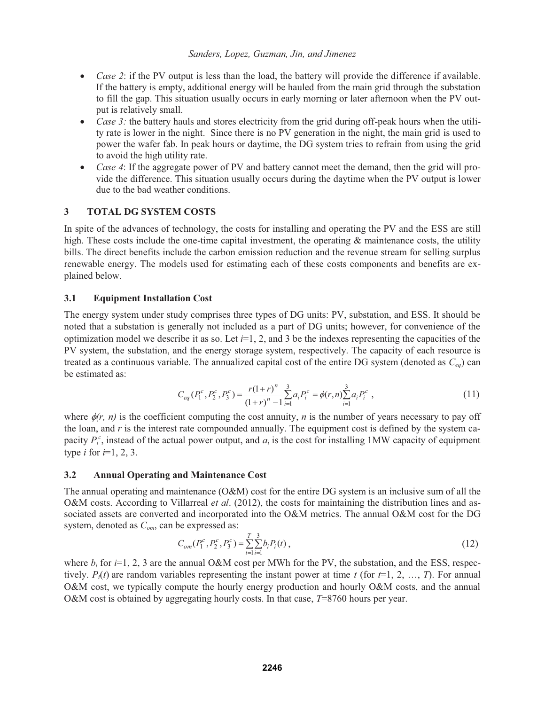## *Sanders, Lopez, Guzman, Jin, and Jimenez*

- *Case 2*: if the PV output is less than the load, the battery will provide the difference if available. If the battery is empty, additional energy will be hauled from the main grid through the substation to fill the gap. This situation usually occurs in early morning or later afternoon when the PV output is relatively small.
- *Case 3:* the battery hauls and stores electricity from the grid during off-peak hours when the utility rate is lower in the night. Since there is no PV generation in the night, the main grid is used to power the wafer fab. In peak hours or daytime, the DG system tries to refrain from using the grid to avoid the high utility rate.
- *Case 4*: If the aggregate power of PV and battery cannot meet the demand, then the grid will provide the difference. This situation usually occurs during the daytime when the PV output is lower due to the bad weather conditions.

# **3 TOTAL DG SYSTEM COSTS**

In spite of the advances of technology, the costs for installing and operating the PV and the ESS are still high. These costs include the one-time capital investment, the operating  $\&$  maintenance costs, the utility bills. The direct benefits include the carbon emission reduction and the revenue stream for selling surplus renewable energy. The models used for estimating each of these costs components and benefits are explained below.

## **3.1 Equipment Installation Cost**

The energy system under study comprises three types of DG units: PV, substation, and ESS. It should be noted that a substation is generally not included as a part of DG units; however, for convenience of the optimization model we describe it as so. Let  $i=1, 2$ , and 3 be the indexes representing the capacities of the PV system, the substation, and the energy storage system, respectively. The capacity of each resource is treated as a continuous variable. The annualized capital cost of the entire DG system (denoted as *Ceq*) can be estimated as:

$$
C_{eq}(P_1^c, P_2^c, P_3^c) = \frac{r(1+r)^n}{(1+r)^n - 1} \sum_{i=1}^3 a_i P_i^c = \phi(r, n) \sum_{i=1}^3 a_i P_i^c
$$
\n<sup>(11)</sup>

where  $\phi(r, n)$  is the coefficient computing the cost annuity, *n* is the number of years necessary to pay off the loan, and *r* is the interest rate compounded annually. The equipment cost is defined by the system capacity  $P_i^c$ , instead of the actual power output, and  $a_i$  is the cost for installing 1MW capacity of equipment type *i* for *i*=1, 2, 3.

### **3.2 Annual Operating and Maintenance Cost**

The annual operating and maintenance (O&M) cost for the entire DG system is an inclusive sum of all the O&M costs. According to Villarreal *et al*. (2012), the costs for maintaining the distribution lines and associated assets are converted and incorporated into the O&M metrics. The annual O&M cost for the DG system, denoted as *Com*, can be expressed as:

$$
C_{om}(P_1^c, P_2^c, P_3^c) = \sum_{t=1}^{T} \sum_{i=1}^{3} b_i P_i(t), \qquad (12)
$$

where  $b_i$  for *i*=1, 2, 3 are the annual O&M cost per MWh for the PV, the substation, and the ESS, respectively.  $P_i(t)$  are random variables representing the instant power at time *t* (for  $t=1, 2, ..., T$ ). For annual O&M cost, we typically compute the hourly energy production and hourly O&M costs, and the annual O&M cost is obtained by aggregating hourly costs. In that case, *T*=8760 hours per year.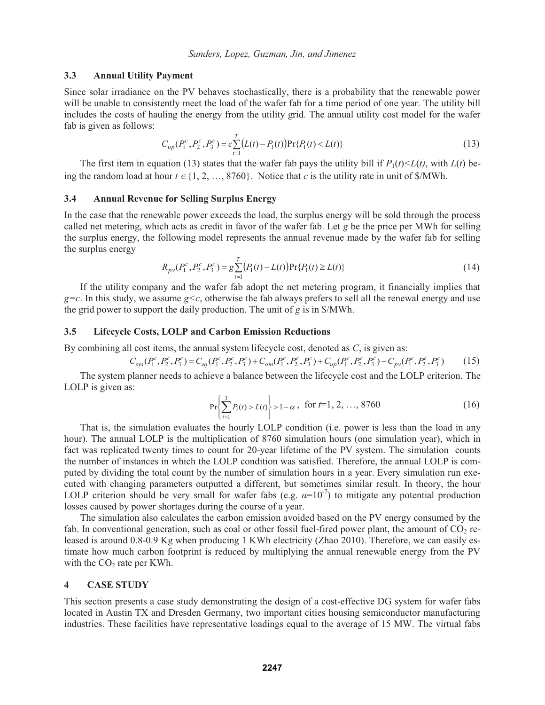#### **3.3 Annual Utility Payment**

Since solar irradiance on the PV behaves stochastically, there is a probability that the renewable power will be unable to consistently meet the load of the wafer fab for a time period of one year. The utility bill includes the costs of hauling the energy from the utility grid. The annual utility cost model for the wafer fab is given as follows:

$$
C_{up}(P_1^c, P_2^c, P_3^c) = c \sum_{t=1}^T \bigl(L(t) - P_1(t)\bigr) \Pr\{P_1(t) < L(t)\}\tag{13}
$$

The first item in equation (13) states that the wafer fab pays the utility bill if  $P_1(t) \le L(t)$ , with  $L(t)$  being the random load at hour  $t \in \{1, 2, ..., 8760\}$ . Notice that *c* is the utility rate in unit of \$/MWh.

#### **3.4 Annual Revenue for Selling Surplus Energy**

In the case that the renewable power exceeds the load, the surplus energy will be sold through the process called net metering, which acts as credit in favor of the wafer fab. Let *g* be the price per MWh for selling the surplus energy, the following model represents the annual revenue made by the wafer fab for selling the surplus energy

$$
R_{pv}(P_1^c, P_2^c, P_3^c) = g \sum_{t=1}^T (P_1(t) - L(t)) \Pr\{P_1(t) \ge L(t)\}
$$
\n(14)

If the utility company and the wafer fab adopt the net metering program, it financially implies that  $g=c$ . In this study, we assume  $g < c$ , otherwise the fab always prefers to sell all the renewal energy and use the grid power to support the daily production. The unit of *g* is in \$/MWh.

#### **3.5 Lifecycle Costs, LOLP and Carbon Emission Reductions**

By combining all cost items, the annual system lifecycle cost, denoted as *C*, is given as:

$$
C_{sys}(P_1^c, P_2^c, P_3^c) = C_{eq}(P_1^c, P_2^c, P_3^c) + C_{om}(P_1^c, P_2^c, P_3^c) + C_{up}(P_1^c, P_2^c, P_3^c) - C_{pv}(P_1^c, P_2^c, P_3^c)
$$
(15)

 The system planner needs to achieve a balance between the lifecycle cost and the LOLP criterion. The LOLP is given as:

$$
\Pr\left\{\sum_{i=1}^{3} P_i(t) > L(t)\right\} > 1 - \alpha \,, \text{ for } t = 1, 2, \dots, 8760 \tag{16}
$$

 That is, the simulation evaluates the hourly LOLP condition (i.e. power is less than the load in any hour). The annual LOLP is the multiplication of 8760 simulation hours (one simulation year), which in fact was replicated twenty times to count for 20-year lifetime of the PV system. The simulation counts the number of instances in which the LOLP condition was satisfied. Therefore, the annual LOLP is computed by dividing the total count by the number of simulation hours in a year. Every simulation run executed with changing parameters outputted a different, but sometimes similar result. In theory, the hour LOLP criterion should be very small for wafer fabs (e.g.  $\alpha=10^{-7}$ ) to mitigate any potential production losses caused by power shortages during the course of a year.

 The simulation also calculates the carbon emission avoided based on the PV energy consumed by the fab. In conventional generation, such as coal or other fossil fuel-fired power plant, the amount of  $CO<sub>2</sub>$  released is around 0.8-0.9 Kg when producing 1 KWh electricity (Zhao 2010). Therefore, we can easily estimate how much carbon footprint is reduced by multiplying the annual renewable energy from the PV with the  $CO<sub>2</sub>$  rate per KWh.

#### **4 CASE STUDY**

This section presents a case study demonstrating the design of a cost-effective DG system for wafer fabs located in Austin TX and Dresden Germany, two important cities housing semiconductor manufacturing industries. These facilities have representative loadings equal to the average of 15 MW. The virtual fabs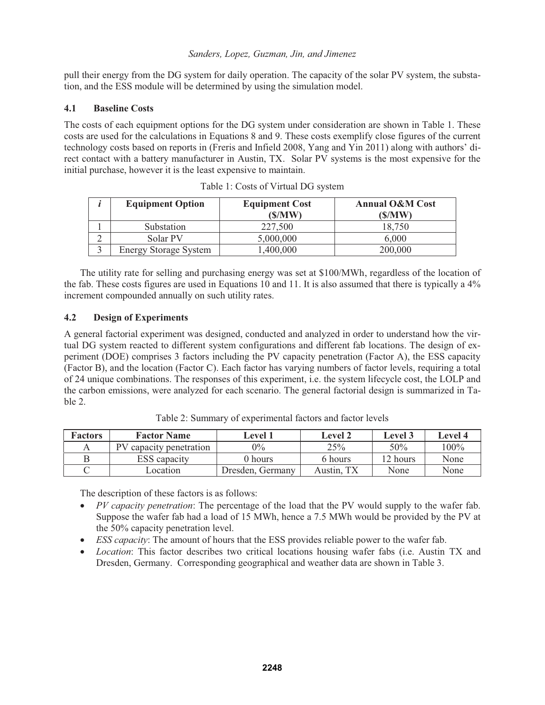pull their energy from the DG system for daily operation. The capacity of the solar PV system, the substation, and the ESS module will be determined by using the simulation model.

# **4.1 Baseline Costs**

The costs of each equipment options for the DG system under consideration are shown in Table 1. These costs are used for the calculations in Equations 8 and 9. These costs exemplify close figures of the current technology costs based on reports in (Freris and Infield 2008, Yang and Yin 2011) along with authors' direct contact with a battery manufacturer in Austin, TX. Solar PV systems is the most expensive for the initial purchase, however it is the least expensive to maintain.

| <b>Equipment Option</b>      | <b>Equipment Cost</b><br>(\$/MW) | <b>Annual O&amp;M Cost</b><br>(\$/MW) |
|------------------------------|----------------------------------|---------------------------------------|
| Substation                   | 227,500                          | 18.750                                |
| Solar PV                     | 5,000,000                        | 6.000                                 |
| <b>Energy Storage System</b> | ,400,000                         | 200.000                               |

Table 1: Costs of Virtual DG system

 The utility rate for selling and purchasing energy was set at \$100/MWh, regardless of the location of the fab. These costs figures are used in Equations 10 and 11. It is also assumed that there is typically a 4% increment compounded annually on such utility rates.

# **4.2 Design of Experiments**

A general factorial experiment was designed, conducted and analyzed in order to understand how the virtual DG system reacted to different system configurations and different fab locations. The design of experiment (DOE) comprises 3 factors including the PV capacity penetration (Factor A), the ESS capacity (Factor B), and the location (Factor C). Each factor has varying numbers of factor levels, requiring a total of 24 unique combinations. The responses of this experiment, i.e. the system lifecycle cost, the LOLP and the carbon emissions, were analyzed for each scenario. The general factorial design is summarized in Table 2.

| <b>Factors</b> | <b>Factor Name</b>      | Level 1          | Level 2    | Level 3  | Level 4 |
|----------------|-------------------------|------------------|------------|----------|---------|
|                | PV capacity penetration | $0\%$            | 25%        | 50%      | $100\%$ |
|                | <b>ESS</b> capacity     | 0 hours          | 6 hours    | 12 hours | None    |
|                | <i>c</i> ocation        | Dresden, Germany | Austin, TX | None     | None    |

Table 2: Summary of experimental factors and factor levels

The description of these factors is as follows:

- *PV capacity penetration*: The percentage of the load that the PV would supply to the wafer fab. Suppose the wafer fab had a load of 15 MWh, hence a 7.5 MWh would be provided by the PV at the 50% capacity penetration level.
- *ESS capacity*: The amount of hours that the ESS provides reliable power to the wafer fab.
- *Location*: This factor describes two critical locations housing wafer fabs (i.e. Austin TX and Dresden, Germany. Corresponding geographical and weather data are shown in Table 3.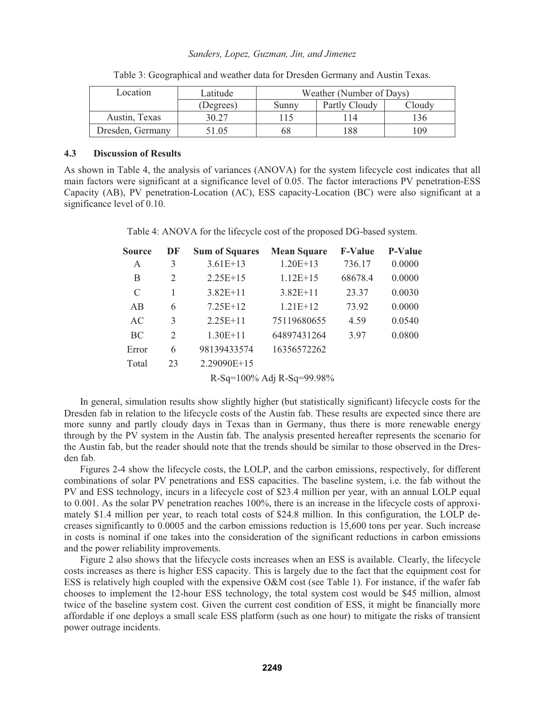#### *Sanders, Lopez, Guzman, Jin, and Jimenez*

| Location         | Latitude  | Weather (Number of Days) |               |        |
|------------------|-----------|--------------------------|---------------|--------|
|                  | (Degrees) | Sunnv                    | Partly Cloudy | Cloudy |
| Austin, Texas    | 30.27     |                          |               | 36     |
| Dresden, Germany | 51.05     | 68                       | 88            | 09     |

Table 3: Geographical and weather data for Dresden Germany and Austin Texas.

### **4.3 Discussion of Results**

As shown in Table 4, the analysis of variances (ANOVA) for the system lifecycle cost indicates that all main factors were significant at a significance level of 0.05. The factor interactions PV penetration-ESS Capacity (AB), PV penetration-Location (AC), ESS capacity-Location (BC) were also significant at a significance level of 0.10.

Table 4: ANOVA for the lifecycle cost of the proposed DG-based system.

| <b>Source</b> | DF | <b>Sum of Squares</b> | <b>Mean Square</b>        | <b>F-Value</b> | <b>P-Value</b> |
|---------------|----|-----------------------|---------------------------|----------------|----------------|
| A             | 3  | $3.61E+13$            | $1.20E+13$                | 736.17         | 0.0000         |
| B             | 2  | $2.25E+15$            | $1.12E+15$                | 68678.4        | 0.0000         |
| C             | 1  | $3.82E+11$            | $3.82E+11$                | 23.37          | 0.0030         |
| AB            | 6  | $7.25E+12$            | $1.21E+12$                | 73.92          | 0.0000         |
| AC            | 3  | $2.25E+11$            | 75119680655               | 4.59           | 0.0540         |
| BC            | 2  | $1.30E + 11$          | 64897431264               | 3.97           | 0.0800         |
| Error         | 6  | 98139433574           | 16356572262               |                |                |
| Total         | 23 | 2.29090E+15           |                           |                |                |
|               |    |                       | R-Sq=100% Adj R-Sq=99.98% |                |                |

 In general, simulation results show slightly higher (but statistically significant) lifecycle costs for the Dresden fab in relation to the lifecycle costs of the Austin fab. These results are expected since there are more sunny and partly cloudy days in Texas than in Germany, thus there is more renewable energy through by the PV system in the Austin fab. The analysis presented hereafter represents the scenario for the Austin fab, but the reader should note that the trends should be similar to those observed in the Dresden fab.

 Figures 2-4 show the lifecycle costs, the LOLP, and the carbon emissions, respectively, for different combinations of solar PV penetrations and ESS capacities. The baseline system, i.e. the fab without the PV and ESS technology, incurs in a lifecycle cost of \$23.4 million per year, with an annual LOLP equal to 0.001. As the solar PV penetration reaches 100%, there is an increase in the lifecycle costs of approximately \$1.4 million per year, to reach total costs of \$24.8 million. In this configuration, the LOLP decreases significantly to 0.0005 and the carbon emissions reduction is 15,600 tons per year. Such increase in costs is nominal if one takes into the consideration of the significant reductions in carbon emissions and the power reliability improvements.

 Figure 2 also shows that the lifecycle costs increases when an ESS is available. Clearly, the lifecycle costs increases as there is higher ESS capacity. This is largely due to the fact that the equipment cost for ESS is relatively high coupled with the expensive O&M cost (see Table 1). For instance, if the wafer fab chooses to implement the 12-hour ESS technology, the total system cost would be \$45 million, almost twice of the baseline system cost. Given the current cost condition of ESS, it might be financially more affordable if one deploys a small scale ESS platform (such as one hour) to mitigate the risks of transient power outrage incidents.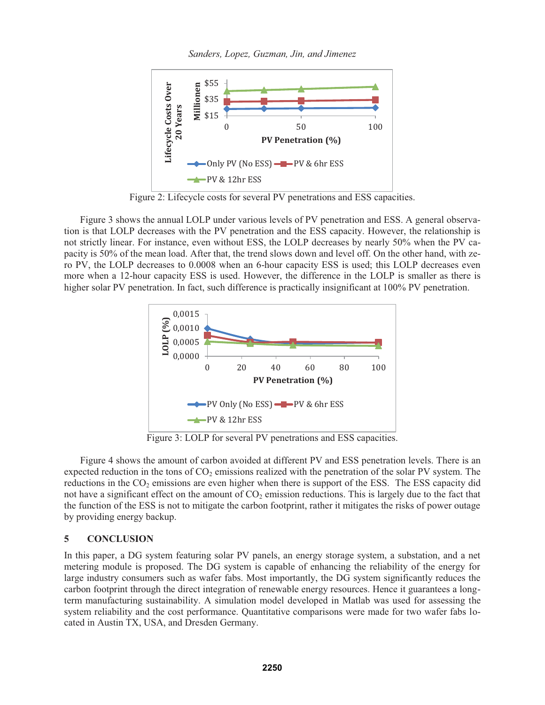*Sanders, Lopez, Guzman, Jin, and Jimenez* 



Figure 2: Lifecycle costs for several PV penetrations and ESS capacities.

 Figure 3 shows the annual LOLP under various levels of PV penetration and ESS. A general observation is that LOLP decreases with the PV penetration and the ESS capacity. However, the relationship is not strictly linear. For instance, even without ESS, the LOLP decreases by nearly 50% when the PV capacity is 50% of the mean load. After that, the trend slows down and level off. On the other hand, with zero PV, the LOLP decreases to 0.0008 when an 6-hour capacity ESS is used; this LOLP decreases even more when a 12-hour capacity ESS is used. However, the difference in the LOLP is smaller as there is higher solar PV penetration. In fact, such difference is practically insignificant at 100% PV penetration.



Figure 3: LOLP for several PV penetrations and ESS capacities.

 Figure 4 shows the amount of carbon avoided at different PV and ESS penetration levels. There is an expected reduction in the tons of  $CO<sub>2</sub>$  emissions realized with the penetration of the solar PV system. The reductions in the  $CO<sub>2</sub>$  emissions are even higher when there is support of the ESS. The ESS capacity did not have a significant effect on the amount of  $CO<sub>2</sub>$  emission reductions. This is largely due to the fact that the function of the ESS is not to mitigate the carbon footprint, rather it mitigates the risks of power outage by providing energy backup.

## **5 CONCLUSION**

In this paper, a DG system featuring solar PV panels, an energy storage system, a substation, and a net metering module is proposed. The DG system is capable of enhancing the reliability of the energy for large industry consumers such as wafer fabs. Most importantly, the DG system significantly reduces the carbon footprint through the direct integration of renewable energy resources. Hence it guarantees a longterm manufacturing sustainability. A simulation model developed in Matlab was used for assessing the system reliability and the cost performance. Quantitative comparisons were made for two wafer fabs located in Austin TX, USA, and Dresden Germany.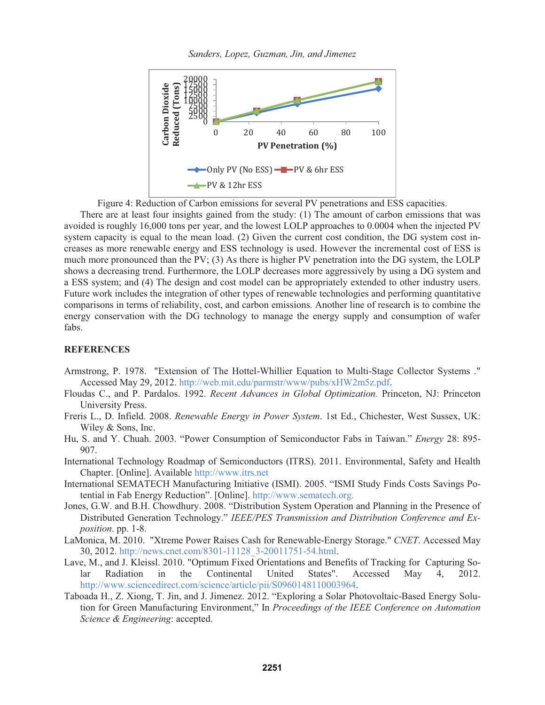*Sanders, Lopez, Guzman, Jin, and Jimenez* 



Figure 4: Reduction of Carbon emissions for several PV penetrations and ESS capacities.

 There are at least four insights gained from the study: (1) The amount of carbon emissions that was avoided is roughly 16,000 tons per year, and the lowest LOLP approaches to 0.0004 when the injected PV system capacity is equal to the mean load. (2) Given the current cost condition, the DG system cost increases as more renewable energy and ESS technology is used. However the incremental cost of ESS is much more pronounced than the PV; (3) As there is higher PV penetration into the DG system, the LOLP shows a decreasing trend. Furthermore, the LOLP decreases more aggressively by using a DG system and a ESS system; and (4) The design and cost model can be appropriately extended to other industry users. Future work includes the integration of other types of renewable technologies and performing quantitative comparisons in terms of reliability, cost, and carbon emissions. Another line of research is to combine the energy conservation with the DG technology to manage the energy supply and consumption of wafer fabs.

## **REFERENCES**

- Armstrong, P. 1978. "Extension of The Hottel-Whillier Equation to Multi-Stage Collector Systems ." Accessed May 29, 2012. http://web.mit.edu/parmstr/www/pubs/xHW2m5z.pdf.
- Floudas C., and P. Pardalos. 1992. *Recent Advances in Global Optimization.* Princeton, NJ: Princeton University Press.
- Freris L., D. Infield. 2008. *Renewable Energy in Power System*. 1st Ed., Chichester, West Sussex, UK: Wiley & Sons, Inc.
- Hu, S. and Y. Chuah. 2003. "Power Consumption of Semiconductor Fabs in Taiwan." *Energy* 28: 895- 907.

International Technology Roadmap of Semiconductors (ITRS). 2011. Environmental, Safety and Health Chapter. [Online]. Available http://www.itrs.net

- International SEMATECH Manufacturing Initiative (ISMI). 2005. "ISMI Study Finds Costs Savings Potential in Fab Energy Reduction". [Online]. http://www.sematech.org.
- Jones, G.W. and B.H. Chowdhury. 2008. "Distribution System Operation and Planning in the Presence of Distributed Generation Technology." *IEEE/PES Transmission and Distribution Conference and Exposition*. pp. 1-8.
- LaMonica, M. 2010. "Xtreme Power Raises Cash for Renewable-Energy Storage." *CNET*. Accessed May 30, 2012. http://news.cnet.com/8301-11128\_3-20011751-54.html.
- Lave, M., and J. Kleissl. 2010. "Optimum Fixed Orientations and Benefits of Tracking for Capturing Solar Radiation in the Continental United States". Accessed May 4, 2012. http://www.sciencedirect.com/science/article/pii/S0960148110003964.
- Taboada H., Z. Xiong, T. Jin, and J. Jimenez. 2012. "Exploring a Solar Photovoltaic-Based Energy Solution for Green Manufacturing Environment," In *Proceedings of the IEEE Conference on Automation Science & Engineering*: accepted.